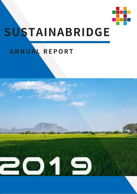

# SUSTAINABRIDGE

## ANNUAL REPORT

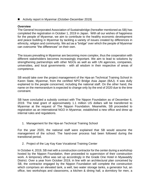#### ■ Activity report in Myanmar (October-December 2019)

#### **Overview**

The General Incorporated Association of Sustainabridge (hereafter mentioned as SB) has completed the registration in October 1, 2019 in Japan. With all our wishes of happiness for the people of Myanmar, we aim to contribute to the healthy economic development and peace building in Myanmar by tackling a variety of issues created by differences in ethnicity, religion and community. We act as a "bridge" over which the people of Myanmar can overcome "the differences" on their own.

The issues prevailing in Myanmar are becoming more complex, thus the cooperation with different stakeholders becomes increasingly important. We aim to lead to solutions by strengthening partnerships with other NGOs as well as with UN agencies, companies, universities, and local governments - with all wisdom in their respective of areas of competence.

SB would take over the project management of the Hpa-an Technical Training School in Karen State, Myanmar, from the certified NPO Bridge Asia Japan (BAJ). It was dully explained to the people concerned, including the national staff. On the other hand, the name on the memorandum is expected to change only by the end of 2020 due to the time constraint.

SB have concluded a subsidy contract with The Nippon Foundation as of December 6, 2019. The total grant of approximately 1.1 million US dollars will be transferred to Myanmar at the request of The Nippon Foundation. Meanwhile, SB proceeded to registration as an international NGO in Myanmar, established a new office and drew up internal rules and regulations.

1. Management for the Hpa-an Technical Training School

For the year 2020, the national staff were explained that SB would assume the management of the school. The hand-over process had been followed during the transitional period.

2. Project of the Lay Kay Kaw Vocational Training Center

In October 4, 2019, SB met with a construction contractor for the center during a workshop hosted by the Nippon Foundation, then proceeded to supervision of their construction work. A temporary office was set up accordingly in the Grade One Hotel in Myawaddy District. Over a year from October 2019, in line with an architectural plan conceived by SB, the contractor engaged by the Nippon Foundation will complete the construction which comprises an elevated tank, a well, two water storage tanks, a generator hut, an office, two workshops and classrooms, a kitchen & dining hall, a dormitory for men, a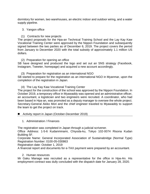dormitory for women, two warehouses, an electric indoor and outdoor wiring, and a water supply pipeline.

#### 3. Yangon office

(1) Contracts for new projects

The project proposals for the Hpa-an Technical Training School and the Lay Kay Kaw Vocational Training Center were approved by the Nippon Foundation and subsequently signed between the two parties as of December 6, 2019. The project covers the period from January to December 2020 with the total subsidy of approximately 1.1 million US dollars.

#### (2) Preparation for opening an office

SB have designed and produced the logo and set out an SNS strategy (Facebook, Instagram, Tweeter, homepage) and acquired a new account accordingly.

(3) Preparation for registration as an international NGO SB started to prepare for the registration as an international NGO in Myanmar, upon the completion of the registration in Japan.

#### (4) The Lay Kay Kaw Vocational Training Center

The project for the construction of the school was approved by the Nippon Foundation. In October 2019, a temporary office in Myawaddy was opened and an administrative officer, an accountant, a logistician and two engineers were recruited. A coordinator, who had been based in Hpa-an, was promoted as a deputy manager to oversee the whole project. Secretary-General Akiko Mori and the chief engineer traveled to Myawaddy to support the team to get the project on track.

#### ■ Activity report in Japan (October-December 2019)

1. Administration / Finances

The registration was completed in Japan through a judicial scrivener.

Office Address: 1-5-6 Kudanminami, Chiyoda-ku, Tokyo 102-0074 Risona Kudan Building 5F.

Corporate Name: General Incorporated Association of Sustainabridge (Normal Type) Registration Number: 0100-05-030863

Registration date: October 1, 2019

A financial report and documents for e-TAX payment were prepared by an accountant.

### 2. Human resources

Mr Gaku Manago was recruited as a representative for the office in Hpa-An. His employment contract was dully concluded with the dispatch date for January 28, 2020.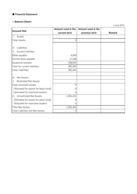#### ■ Financial Statement

#### **< Balance Sheet>**

( Unit:JPY)

| <b>Account title</b>                   | Amount used in the  | Amount used in the |        |
|----------------------------------------|---------------------|--------------------|--------|
|                                        | current term        | previous term      | Remark |
| Assets                                 |                     |                    |        |
| <b>Total Assets</b>                    | $\mathbf 0$         |                    |        |
|                                        |                     |                    |        |
| Liabilities<br>$\mathbf{H}$            |                     |                    |        |
| 1. Current liabilites                  |                     |                    |        |
| Other payable                          | 4,950               |                    |        |
| Income taxes payable                   | 17,500              |                    |        |
| Suspense receipts                      | 258,991             |                    |        |
| Total for current liabilites           | 281,441             |                    |        |
| <b>Total Liabilities</b>               | 281,441             |                    |        |
|                                        |                     |                    |        |
| <b>Net Assets</b><br>$\mathbf{III}$    |                     |                    |        |
| 1. Restricted Net Assets               |                     |                    |        |
| Total restricted assets                | $\Omega$            |                    |        |
| (Allocated for assets for basic fund)  | 0                   |                    |        |
| (Allocated for restricted assets)      | 0                   |                    |        |
| 2. Unrestricted Net Assets             | $\triangle$ 281,441 |                    |        |
| (Allocated for assets for basic fund)  | 0                   |                    |        |
| (Allocated for restricted assets)      | 0                   |                    |        |
| <b>Total Net Assets</b>                | $\triangle$ 281,441 |                    |        |
| <b>Total Liabilites and Net Assets</b> | 0                   |                    |        |